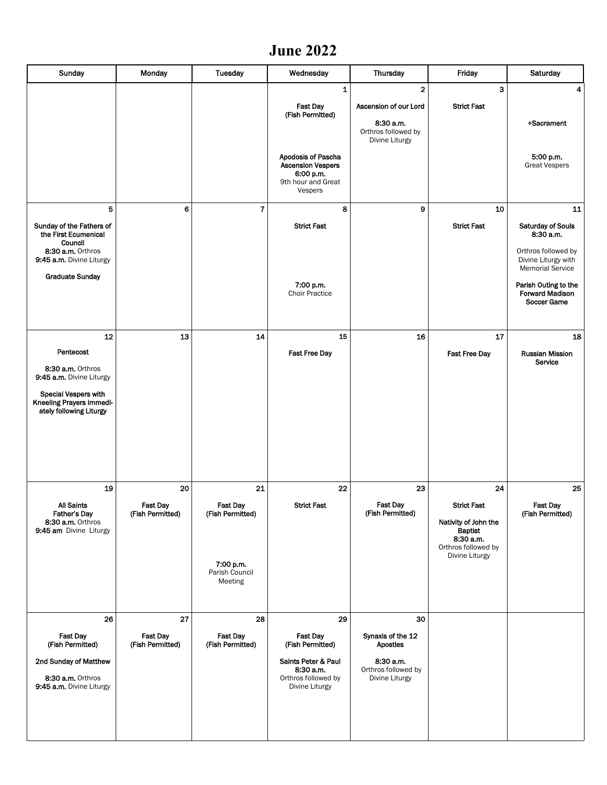## **June 2022**

| Sunday                                                                      | Monday                              | Tuesday                                | Wednesday                                                                                    | Thursday                                           | Friday                                                                                       | Saturday                                                              |
|-----------------------------------------------------------------------------|-------------------------------------|----------------------------------------|----------------------------------------------------------------------------------------------|----------------------------------------------------|----------------------------------------------------------------------------------------------|-----------------------------------------------------------------------|
|                                                                             |                                     |                                        | 1                                                                                            | $\overline{\mathbf{2}}$                            | 3                                                                                            | 4                                                                     |
|                                                                             |                                     |                                        | <b>Fast Day</b>                                                                              | Ascension of our Lord                              | <b>Strict Fast</b>                                                                           |                                                                       |
|                                                                             |                                     |                                        | (Fish Permitted)                                                                             | 8:30 a.m.<br>Orthros followed by<br>Divine Liturgy |                                                                                              | +Sacrament                                                            |
|                                                                             |                                     |                                        | Apodosis of Pascha<br><b>Ascension Vespers</b><br>6:00 p.m.<br>9th hour and Great<br>Vespers |                                                    |                                                                                              | 5:00 p.m.<br><b>Great Vespers</b>                                     |
| 5                                                                           | 6                                   | $\overline{7}$                         | 8                                                                                            | 9                                                  | 10                                                                                           | 11                                                                    |
| Sunday of the Fathers of<br>the First Ecumenical<br>Council                 |                                     |                                        | <b>Strict Fast</b>                                                                           |                                                    | <b>Strict Fast</b>                                                                           | <b>Saturday of Souls</b><br>8:30 a.m.                                 |
| 8:30 a.m. Orthros<br>9:45 a.m. Divine Liturgy                               |                                     |                                        |                                                                                              |                                                    |                                                                                              | Orthros followed by<br>Divine Liturgy with<br><b>Memorial Service</b> |
| <b>Graduate Sunday</b>                                                      |                                     |                                        | 7:00 p.m.<br><b>Choir Practice</b>                                                           |                                                    |                                                                                              | Parish Outing to the<br><b>Forward Madison</b><br>Soccer Game         |
|                                                                             |                                     |                                        |                                                                                              |                                                    |                                                                                              |                                                                       |
| 12<br>Pentecost                                                             | 13                                  | 14                                     | 15<br><b>Fast Free Day</b>                                                                   | 16                                                 | 17                                                                                           | 18<br><b>Russian Mission</b>                                          |
| 8:30 a.m. Orthros<br>9:45 a.m. Divine Liturgy                               |                                     |                                        |                                                                                              |                                                    | <b>Fast Free Day</b>                                                                         | Service                                                               |
| Special Vespers with<br>Kneeling Prayers immedi-<br>ately following Liturgy |                                     |                                        |                                                                                              |                                                    |                                                                                              |                                                                       |
| 19                                                                          | 20                                  | 21                                     | 22                                                                                           | 23                                                 | 24                                                                                           | 25                                                                    |
| All Saints                                                                  | <b>Fast Day</b>                     | <b>Fast Day</b>                        | <b>Strict Fast</b>                                                                           | <b>Fast Day</b>                                    | <b>Strict Fast</b>                                                                           | <b>Fast Day</b>                                                       |
| Father's Day<br>8:30 a.m. Orthros<br>9:45 am Divine Liturgy                 | (Fish Permitted)                    | (Fish Permitted)                       |                                                                                              | (Fish Permitted)                                   | Nativity of John the<br><b>Baptist</b><br>8:30 a.m.<br>Orthros followed by<br>Divine Liturgy | (Fish Permitted)                                                      |
|                                                                             |                                     | 7:00 p.m.<br>Parish Council<br>Meeting |                                                                                              |                                                    |                                                                                              |                                                                       |
| 26                                                                          | 27                                  | 28                                     | 29                                                                                           | 30                                                 |                                                                                              |                                                                       |
| <b>Fast Day</b><br>(Fish Permitted)                                         | <b>Fast Day</b><br>(Fish Permitted) | Fast Day<br>(Fish Permitted)           | <b>Fast Day</b><br>(Fish Permitted)                                                          | Synaxis of the 12<br><b>Apostles</b>               |                                                                                              |                                                                       |
| 2nd Sunday of Matthew                                                       |                                     |                                        | Saints Peter & Paul<br>8:30 a.m.                                                             | 8:30 a.m.<br>Orthros followed by                   |                                                                                              |                                                                       |
| 8:30 a.m. Orthros<br>9:45 a.m. Divine Liturgy                               |                                     |                                        | Orthros followed by<br>Divine Liturgy                                                        | Divine Liturgy                                     |                                                                                              |                                                                       |
|                                                                             |                                     |                                        |                                                                                              |                                                    |                                                                                              |                                                                       |